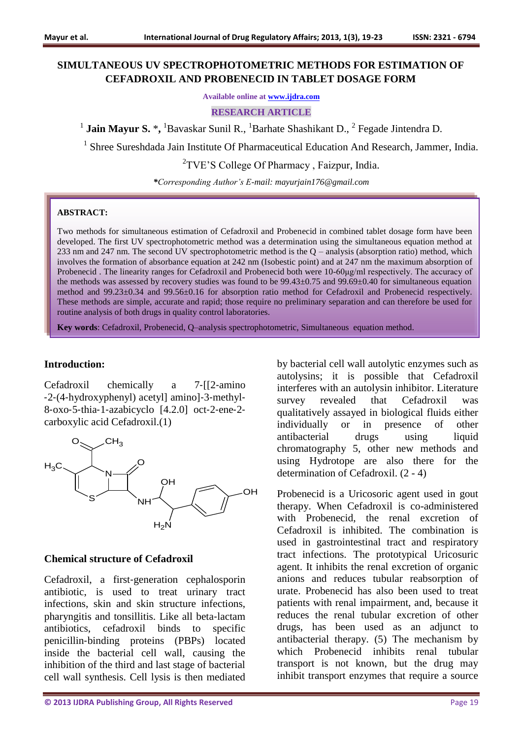## **SIMULTANEOUS UV SPECTROPHOTOMETRIC METHODS FOR ESTIMATION OF CEFADROXIL AND PROBENECID IN TABLET DOSAGE FORM**

**Available online at [www.ijdra.com](http://www.ijdra.com/)**

#### **RESEARCH ARTICLE**

<sup>1</sup> Jain Mayur S. \*, <sup>1</sup>Bavaskar Sunil R., <sup>1</sup>Barhate Shashikant D., <sup>2</sup> Fegade Jintendra D.

<sup>1</sup> Shree Sureshdada Jain Institute Of Pharmaceutical Education And Research, Jammer, India.

<sup>2</sup>TVE'S College Of Pharmacy, Faizpur, India.

*\*Corresponding Author's E-mail: mayurjain176@gmail.com*

#### **ABSTRACT:**

Two methods for simultaneous estimation of Cefadroxil and Probenecid in combined tablet dosage form have been developed. The first UV spectrophotometric method was a determination using the simultaneous equation method at 233 nm and 247 nm. The second UV spectrophotometric method is the Q – analysis (absorption ratio) method, which involves the formation of absorbance equation at 242 nm (Isobestic point) and at 247 nm the maximum absorption of Probenecid . The linearity ranges for Cefadroxil and Probenecid both were 10-60μg/ml respectively. The accuracy of the methods was assessed by recovery studies was found to be  $99.43\pm0.75$  and  $99.69\pm0.40$  for simultaneous equation method and 99.23±0.34 and 99.56±0.16 for absorption ratio method for Cefadroxil and Probenecid respectively. These methods are simple, accurate and rapid; those require no preliminary separation and can therefore be used for routine analysis of both drugs in quality control laboratories.

**Key words**: Cefadroxil, Probenecid, Q–analysis spectrophotometric, Simultaneous equation method.

## **Introduction:**

Cefadroxil chemically a 7‐[[2‐amino ‐2‐(4‐hydroxyphenyl) acetyl] amino]‐3‐methyl‐ 8‐oxo‐5‐thia‐1‐azabicyclo [4.2.0] oct‐2‐ene‐2‐ carboxylic acid Cefadroxil.(1)



#### **Chemical structure of Cefadroxil**

Cefadroxil, a first‐generation cephalosporin antibiotic, is used to treat urinary tract infections, skin and skin structure infections, pharyngitis and tonsillitis. Like all beta‐lactam antibiotics, cefadroxil binds to specific penicillin‐binding proteins (PBPs) located inside the bacterial cell wall, causing the inhibition of the third and last stage of bacterial cell wall synthesis. Cell lysis is then mediated

**© 2013 IJDRA Publishing Group, All Rights Reserved** Page 19

by bacterial cell wall autolytic enzymes such as autolysins; it is possible that Cefadroxil interferes with an autolysin inhibitor. Literature survey revealed that Cefadroxil was qualitatively assayed in biological fluids either individually or in presence of other antibacterial drugs using liquid chromatography 5, other new methods and using Hydrotope are also there for the determination of Cefadroxil. (2 - 4)

Probenecid is a Uricosoric agent used in gout therapy. When Cefadroxil is co-administered with Probenecid, the renal excretion of Cefadroxil is inhibited. The combination is used in gastrointestinal tract and respiratory tract infections. The prototypical Uricosuric agent. It inhibits the renal excretion of organic anions and reduces tubular reabsorption of urate. Probenecid has also been used to treat patients with renal impairment, and, because it reduces the renal tubular excretion of other drugs, has been used as an adjunct to antibacterial therapy. (5) The mechanism by which Probenecid inhibits renal tubular transport is not known, but the drug may inhibit transport enzymes that require a source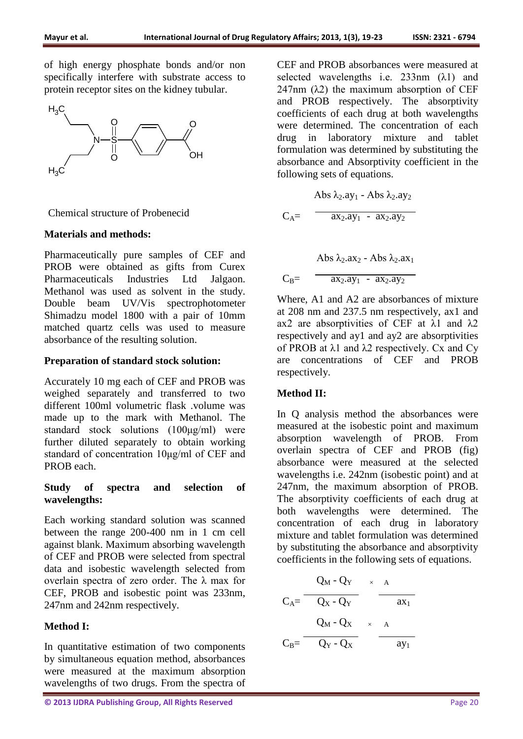of high energy phosphate bonds and/or non specifically interfere with substrate access to protein receptor sites on the kidney tubular.



Chemical structure of Probenecid

### **Materials and methods:**

Pharmaceutically pure samples of CEF and PROB were obtained as gifts from Curex Pharmaceuticals Industries Ltd Jalgaon. Methanol was used as solvent in the study. Double beam UV/Vis spectrophotometer Shimadzu model 1800 with a pair of 10mm matched quartz cells was used to measure absorbance of the resulting solution.

## **Preparation of standard stock solution:**

Accurately 10 mg each of CEF and PROB was weighed separately and transferred to two different 100ml volumetric flask .volume was made up to the mark with Methanol. The standard stock solutions (100μg/ml) were further diluted separately to obtain working standard of concentration 10μg/ml of CEF and PROB each.

## **Study of spectra and selection of wavelengths:**

Each working standard solution was scanned between the range 200-400 nm in 1 cm cell against blank. Maximum absorbing wavelength of CEF and PROB were selected from spectral data and isobestic wavelength selected from overlain spectra of zero order. The λ max for CEF, PROB and isobestic point was 233nm, 247nm and 242nm respectively.

## **Method I:**

In quantitative estimation of two components by simultaneous equation method, absorbances were measured at the maximum absorption wavelengths of two drugs. From the spectra of CEF and PROB absorbances were measured at selected wavelengths i.e.  $233nm$  ( $\lambda$ 1) and 247nm  $(\lambda 2)$  the maximum absorption of CEF and PROB respectively. The absorptivity coefficients of each drug at both wavelengths were determined. The concentration of each drug in laboratory mixture and tablet formulation was determined by substituting the absorbance and Absorptivity coefficient in the following sets of equations.

$$
60.23y_1 - 20.23y_2
$$
  
\n
$$
C_A = 20.23y_1 - 20.23y_2
$$
  
\n
$$
C_B = 20.23y_1 - 20.23y_2
$$
  
\n
$$
C_B = 20.23y_1 - 20.23y_2
$$

Where, A1 and A2 are absorbances of mixture at 208 nm and 237.5 nm respectively, ax1 and ax2 are absorptivities of CEF at  $λ1$  and  $λ2$ respectively and ay1 and ay2 are absorptivities of PROB at  $\lambda$ 1 and  $\lambda$ 2 respectively. Cx and Cy are concentrations of CEF and PROB respectively.

## **Method II:**

In Q analysis method the absorbances were measured at the isobestic point and maximum absorption wavelength of PROB. From overlain spectra of CEF and PROB (fig) absorbance were measured at the selected wavelengths i.e. 242nm (isobestic point) and at 247nm, the maximum absorption of PROB. The absorptivity coefficients of each drug at both wavelengths were determined. The concentration of each drug in laboratory mixture and tablet formulation was determined by substituting the absorbance and absorptivity coefficients in the following sets of equations.

$$
C_{A} = \frac{Q_M - Q_Y}{Q_X - Q_Y} \times \frac{A}{ax_1}
$$

$$
C_{B} = \frac{Q_M - Q_X}{Q_Y - Q_X} \times \frac{A}{ay_1}
$$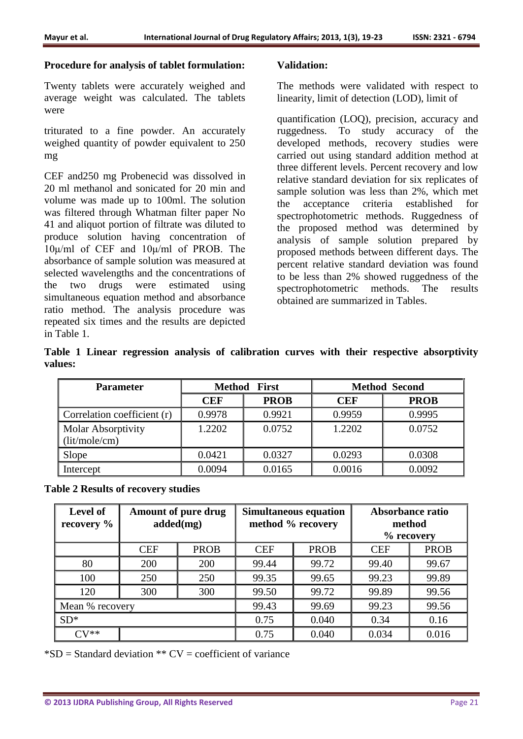## **Procedure for analysis of tablet formulation:**

Twenty tablets were accurately weighed and average weight was calculated. The tablets were

triturated to a fine powder. An accurately weighed quantity of powder equivalent to 250 mg

CEF and250 mg Probenecid was dissolved in 20 ml methanol and sonicated for 20 min and volume was made up to 100ml. The solution was filtered through Whatman filter paper No 41 and aliquot portion of filtrate was diluted to produce solution having concentration of 10μ/ml of CEF and 10μ/ml of PROB. The absorbance of sample solution was measured at selected wavelengths and the concentrations of the two drugs were estimated using simultaneous equation method and absorbance ratio method. The analysis procedure was repeated six times and the results are depicted in Table 1.

## **Validation:**

The methods were validated with respect to linearity, limit of detection (LOD), limit of

quantification (LOQ), precision, accuracy and ruggedness. To study accuracy of the developed methods, recovery studies were carried out using standard addition method at three different levels. Percent recovery and low relative standard deviation for six replicates of sample solution was less than 2%, which met the acceptance criteria established for spectrophotometric methods. Ruggedness of the proposed method was determined by analysis of sample solution prepared by proposed methods between different days. The percent relative standard deviation was found to be less than 2% showed ruggedness of the spectrophotometric methods. The results obtained are summarized in Tables.

|         |  |  |  |  | Table 1 Linear regression analysis of calibration curves with their respective absorptivity |
|---------|--|--|--|--|---------------------------------------------------------------------------------------------|
| values: |  |  |  |  |                                                                                             |

| <b>Parameter</b>              |            | <b>Method First</b>       | <b>Method Second</b> |             |  |
|-------------------------------|------------|---------------------------|----------------------|-------------|--|
|                               | <b>CEF</b> | <b>PROB</b><br><b>CEF</b> |                      | <b>PROB</b> |  |
| Correlation coefficient $(r)$ | 0.9978     | 0.9921                    | 0.9959               | 0.9995      |  |
| Molar Absorptivity            | 1.2202     | 0.0752                    | 1.2202               | 0.0752      |  |
| $\int$ (lit/mole/cm)          |            |                           |                      |             |  |
| Slope                         | 0.0421     | 0.0327                    | 0.0293               | 0.0308      |  |
| Intercept                     | 0.0094     | 0.0165                    | 0.0016               | 0.0092      |  |

| <b>Table 2 Results of recovery studies</b> |  |  |  |  |  |  |
|--------------------------------------------|--|--|--|--|--|--|
|--------------------------------------------|--|--|--|--|--|--|

| <b>Level of</b><br>$\vert$ recovery % |            | <b>Amount of pure drug</b><br>added(mg) |            | <b>Simultaneous equation</b><br>method % recovery | Absorbance ratio<br>method<br>$%$ recovery |             |
|---------------------------------------|------------|-----------------------------------------|------------|---------------------------------------------------|--------------------------------------------|-------------|
|                                       | <b>CEF</b> | <b>PROB</b>                             | <b>CEF</b> | <b>PROB</b>                                       | <b>CEF</b>                                 | <b>PROB</b> |
| 80                                    | 200        | 200                                     | 99.44      | 99.72                                             | 99.40                                      | 99.67       |
| 100                                   | 250        | 250                                     | 99.35      | 99.65                                             | 99.23                                      | 99.89       |
| 120                                   | 300        | 300                                     | 99.50      | 99.72                                             | 99.89                                      | 99.56       |
| Mean % recovery                       |            |                                         | 99.43      | 99.69                                             | 99.23                                      | 99.56       |
| $\vert$ SD <sup>*</sup>               |            |                                         | 0.75       | 0.040                                             | 0.34                                       | 0.16        |
| $\overline{\Gamma} V^{**}$            |            |                                         | 0.75       | 0.040                                             | 0.034                                      | 0.016       |

 $*SD = Standard deviation ** CV = coefficient of variance$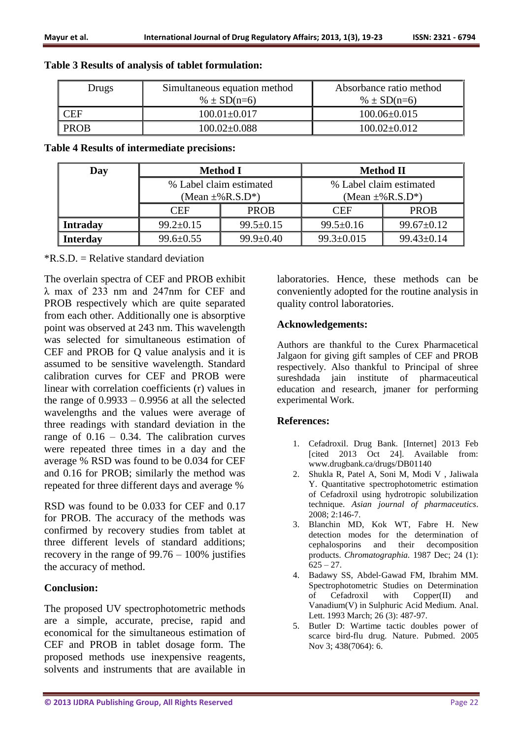## **Table 3 Results of analysis of tablet formulation:**

| Drugs | Simultaneous equation method<br>$% \pm SD(n=6)$ | Absorbance ratio method<br>% $\pm$ SD(n=6) |  |  |
|-------|-------------------------------------------------|--------------------------------------------|--|--|
| CEF   | $100.01 \pm 0.017$                              | $100.06 \pm 0.015$                         |  |  |
| PROB  | $100.02 \pm 0.088$                              | $100.02 \pm 0.012$                         |  |  |

## **Table 4 Results of intermediate precisions:**

| Day             |                 | <b>Method I</b>                    | <b>Method II</b>                   |                  |  |
|-----------------|-----------------|------------------------------------|------------------------------------|------------------|--|
|                 |                 | % Label claim estimated            | % Label claim estimated            |                  |  |
|                 |                 | (Mean $\pm\%$ R.S.D <sup>*</sup> ) | (Mean $\pm\%$ R.S.D <sup>*</sup> ) |                  |  |
|                 | CEF             | <b>PROB</b>                        | <b>CEF</b>                         | <b>PROB</b>      |  |
| <b>Intraday</b> | $99.2 \pm 0.15$ | $99.5 \pm 0.15$                    | $99.5 \pm 0.16$                    | $99.67 \pm 0.12$ |  |
| <b>Interday</b> | $99.6 \pm 0.55$ | $99.9 \pm 0.40$                    | $99.3 \pm 0.015$                   | $99.43 \pm 0.14$ |  |

 $*R.S.D. = Relative standard deviation$ 

The overlain spectra of CEF and PROB exhibit λ max of 233 nm and 247nm for CEF and PROB respectively which are quite separated from each other. Additionally one is absorptive point was observed at 243 nm. This wavelength was selected for simultaneous estimation of CEF and PROB for Q value analysis and it is assumed to be sensitive wavelength. Standard calibration curves for CEF and PROB were linear with correlation coefficients (r) values in the range of  $0.9933 - 0.9956$  at all the selected wavelengths and the values were average of three readings with standard deviation in the range of  $0.16 - 0.34$ . The calibration curves were repeated three times in a day and the average % RSD was found to be 0.034 for CEF and 0.16 for PROB; similarly the method was repeated for three different days and average %

RSD was found to be 0.033 for CEF and 0.17 for PROB. The accuracy of the methods was confirmed by recovery studies from tablet at three different levels of standard additions; recovery in the range of 99.76 – 100% justifies the accuracy of method.

## **Conclusion:**

The proposed UV spectrophotometric methods are a simple, accurate, precise, rapid and economical for the simultaneous estimation of CEF and PROB in tablet dosage form. The proposed methods use inexpensive reagents, solvents and instruments that are available in laboratories. Hence, these methods can be conveniently adopted for the routine analysis in quality control laboratories.

## **Acknowledgements:**

Authors are thankful to the Curex Pharmacetical Jalgaon for giving gift samples of CEF and PROB respectively. Also thankful to Principal of shree sureshdada jain institute of pharmaceutical education and research, jmaner for performing experimental Work.

## **References:**

- 1. Cefadroxil. Drug Bank. [Internet] 2013 Feb [cited 2013 Oct 24]. Available from: www.drugbank.ca/drugs/DB01140
- 2. Shukla R, Patel A, Soni M, Modi V , Jaliwala Y. Quantitative spectrophotometric estimation of Cefadroxil using hydrotropic solubilization technique. *Asian journal of pharmaceutics*. 2008; 2:146-7.
- 3. Blanchin MD, Kok WT, Fabre H. New detection modes for the determination of cephalosporins and their decomposition products. *Chromatographia.* 1987 Dec; 24 (1):  $625 - 27.$
- 4. Badawy SS, Abdel‐Gawad FM, Ibrahim MM. Spectrophotometric Studies on Determination of Cefadroxil with Copper(II) and Vanadium(V) in Sulphuric Acid Medium. Anal. Lett. 1993 March; 26 (3): 487-97.
- 5. Butler D: Wartime tactic doubles power of scarce bird-flu drug. Nature. Pubmed. 2005 Nov 3; 438(7064): 6.